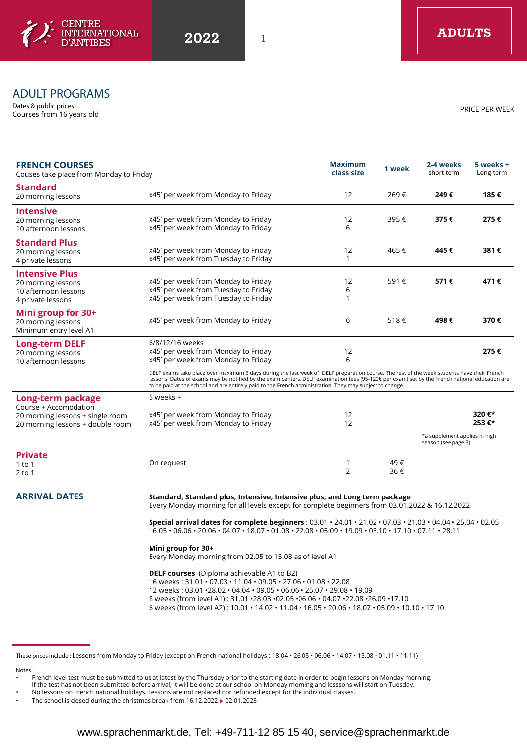

# ADULT PROGRAMS

Dates & public prices Courses from 16 years old

| <b>FRENCH COURSES</b><br>Couses take place from Monday to Friday |                                                                                                                                                                                                                                                                                                                                                                                                          | <b>Maximum</b><br>class size | 1 week | 2-4 weeks<br>short-term                              | 5 weeks +<br>Long-term |
|------------------------------------------------------------------|----------------------------------------------------------------------------------------------------------------------------------------------------------------------------------------------------------------------------------------------------------------------------------------------------------------------------------------------------------------------------------------------------------|------------------------------|--------|------------------------------------------------------|------------------------|
| <b>Standard</b><br>20 morning lessons                            | x45' per week from Monday to Friday                                                                                                                                                                                                                                                                                                                                                                      | 12                           | 269€   | 249€                                                 | 185€                   |
| <b>Intensive</b>                                                 |                                                                                                                                                                                                                                                                                                                                                                                                          |                              |        |                                                      |                        |
| 20 morning lessons                                               | x45' per week from Monday to Friday                                                                                                                                                                                                                                                                                                                                                                      | 12                           | 395€   | 375€                                                 | 275€                   |
| 10 afternoon lessons                                             | x45' per week from Monday to Friday                                                                                                                                                                                                                                                                                                                                                                      | 6                            |        |                                                      |                        |
| <b>Standard Plus</b>                                             |                                                                                                                                                                                                                                                                                                                                                                                                          |                              |        |                                                      |                        |
| 20 morning lessons                                               | x45' per week from Monday to Friday                                                                                                                                                                                                                                                                                                                                                                      | 12                           | 465€   | 445€                                                 | 381€                   |
| 4 private lessons                                                | x45' per week from Tuesday to Friday                                                                                                                                                                                                                                                                                                                                                                     | 1                            |        |                                                      |                        |
| <b>Intensive Plus</b>                                            |                                                                                                                                                                                                                                                                                                                                                                                                          |                              |        |                                                      |                        |
| 20 morning lessons                                               | x45' per week from Monday to Friday                                                                                                                                                                                                                                                                                                                                                                      | 12                           | 591€   | 571€                                                 | 471€                   |
| 10 afternoon lessons                                             | x45' per week from Tuesday to Friday                                                                                                                                                                                                                                                                                                                                                                     | 6                            |        |                                                      |                        |
| 4 private lessons                                                | x45' per week from Tuesday to Friday                                                                                                                                                                                                                                                                                                                                                                     | 1                            |        |                                                      |                        |
| Mini group for 30+                                               |                                                                                                                                                                                                                                                                                                                                                                                                          |                              |        |                                                      |                        |
| 20 morning lessons                                               | x45' per week from Monday to Friday                                                                                                                                                                                                                                                                                                                                                                      | 6                            | 518€   | 498€                                                 | 370€                   |
| Minimum entry level A1                                           |                                                                                                                                                                                                                                                                                                                                                                                                          |                              |        |                                                      |                        |
| <b>Long-term DELF</b>                                            | 6/8/12/16 weeks                                                                                                                                                                                                                                                                                                                                                                                          |                              |        |                                                      |                        |
| 20 morning lessons                                               | x45' per week from Monday to Friday                                                                                                                                                                                                                                                                                                                                                                      | 12                           |        |                                                      | 275€                   |
| 10 afternoon lessons                                             | x45' per week from Monday to Friday                                                                                                                                                                                                                                                                                                                                                                      | 6                            |        |                                                      |                        |
|                                                                  | DELF exams take place over maximum 3 days during the last week of DELF preparation course. The rest of the week students have their French<br>lessons. Dates of exams may be notified by the exam centers. DELF examination fees (95-120€ per exam) set by the French national education are<br>to be paid at the school and are entirely paid to the French administration. They may subject to change. |                              |        |                                                      |                        |
| Long-term package                                                | 5 weeks +                                                                                                                                                                                                                                                                                                                                                                                                |                              |        |                                                      |                        |
| Course + Accomodation                                            |                                                                                                                                                                                                                                                                                                                                                                                                          | 12                           |        |                                                      | 320€*                  |
| 20 morning lessons + single room                                 | x45' per week from Monday to Friday<br>x45' per week from Monday to Friday                                                                                                                                                                                                                                                                                                                               | 12                           |        |                                                      | 253€*                  |
| 20 morning lessons + double room                                 |                                                                                                                                                                                                                                                                                                                                                                                                          |                              |        |                                                      |                        |
|                                                                  |                                                                                                                                                                                                                                                                                                                                                                                                          |                              |        | *a supplement applies in high<br>season (see page 3) |                        |
| <b>Private</b>                                                   |                                                                                                                                                                                                                                                                                                                                                                                                          |                              |        |                                                      |                        |
| $1$ to $1$                                                       | On request                                                                                                                                                                                                                                                                                                                                                                                               |                              | 49€    |                                                      |                        |
| $2$ to 1                                                         |                                                                                                                                                                                                                                                                                                                                                                                                          | 2                            | 36€    |                                                      |                        |
|                                                                  |                                                                                                                                                                                                                                                                                                                                                                                                          |                              |        |                                                      |                        |

# **ARRIVAL DATES Standard, Standard plus, Intensive, Intensive plus, and Long term package**

Every Monday morning for all levels except for complete beginners from 03.01.2022 & 16.12.2022

**Special arrival dates for complete beginners** : 03.01 • 24.01 • 21.02 • 07.03 • 21.03 • 04.04 • 25.04 • 02.05 16.05 • 06.06 • 20.06 • 04.07 • 18.07 • 01.08 • 22.08 • 05.09 • 19.09 • 03.10 • 17.10 • 07.11 • 28.11

### **Mini group for 30+**

Every Monday morning from 02.05 to 15.08 as of level A1

**DELF courses** (Diploma achievable A1 to B2) 16 weeks : 31.01 • 07.03 • 11.04 • 09.05 • 27.06 • 01.08 • 22.08 12 weeks : 03.01 •28.02 • 04.04 • 09.05 • 06.06 • 25.07 • 29.08 • 19.09 8 weeks (from level A1) : 31.01 •28.03 •02.05 •06.06 • 04.07 •22.08 •26.09 •17.10 6 weeks (from level A2) : 10.01 • 14.02 • 11.04 • 16.05 • 20.06 • 18.07 • 05.09 • 10.10 • 17.10

These prices include : Lessons from Monday to Friday (except on French national holidays : 18.04 • 26.05 • 06.06 • 14.07 • 15.08 • 01.11 • 11.11)

Notes :

• French level test must be submitted to us at latest by the Thursday prior to the starting date in order to begin lessons on Monday morning.

If the test has not been submitted before arrival, it will be done at our school on Monday morning and lesssons will start on Tuesday.

• No lessons on French national holidays. Lessons are not replaced nor refunded except for the individual classes.

PRICE PER WEEK

The school is closed during the christmas break from  $16.12.2022 \rightarrow 02.01.2023$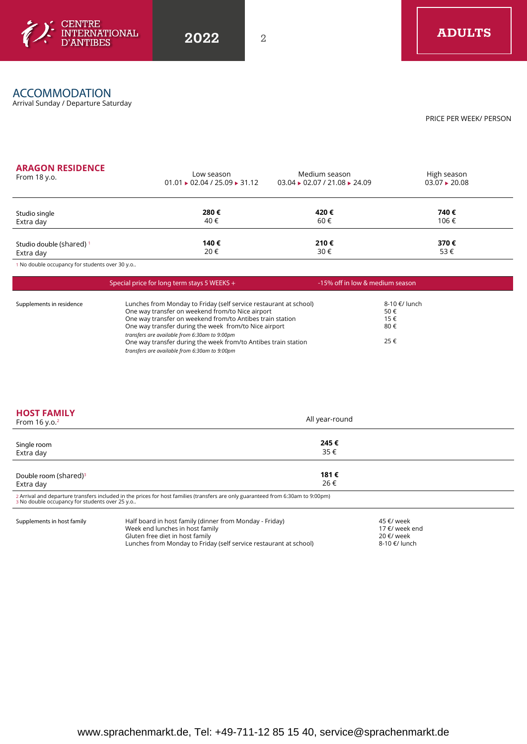

# ACCOMMODATION

Arrival Sunday / Departure Saturday

PRICE PER WEEK/ PERSON

## **ARAGON RESIDENCE**

| <b>ARAGON RESIDENCE</b>  | Low season                              | Medium season                                       | High season        |  |
|--------------------------|-----------------------------------------|-----------------------------------------------------|--------------------|--|
| From $18$ y.o.           | $01.01 \cdot 02.04 / 25.09 \cdot 31.12$ | $03.04 \rightarrow 02.07 / 21.08 \rightarrow 24.09$ | $03.07 \div 20.08$ |  |
| Studio single            | 280€                                    | 420€                                                | 740€               |  |
| Extra day                | 40€                                     | 60€                                                 | 106€               |  |
| Studio double (shared) 1 | 140€                                    | 210€                                                | 370€               |  |
| Extra day                | 20€                                     | 30€                                                 | 53€                |  |

1 No double occupancy for students over 30 y.o..

|                          | Special price for long term stays 5 WEEKS $+$                                                                                                                                                                                                                                                                                                                  | -15% off in low & medium season           |  |
|--------------------------|----------------------------------------------------------------------------------------------------------------------------------------------------------------------------------------------------------------------------------------------------------------------------------------------------------------------------------------------------------------|-------------------------------------------|--|
| Supplements in residence | Lunches from Monday to Friday (self service restaurant at school)<br>One way transfer on weekend from/to Nice airport<br>One way transfer on weekend from/to Antibes train station<br>One way transfer during the week from/to Nice airport<br>transfers are available from 6:30am to 9:00pm<br>One way transfer during the week from/to Antibes train station | 8-10 €/ lunch<br>50€<br>15€<br>80€<br>25€ |  |
|                          | transfers are available from 6:30am to 9:00pm                                                                                                                                                                                                                                                                                                                  |                                           |  |

| <b>HOST FAMILY</b><br>From $16 y.o.2$          |                                                                                                                                  | All year-round |                              |  |
|------------------------------------------------|----------------------------------------------------------------------------------------------------------------------------------|----------------|------------------------------|--|
| Single room<br>Extra day                       |                                                                                                                                  | 245€<br>35€    |                              |  |
| Double room (shared) <sup>3</sup><br>Extra day |                                                                                                                                  | 181€<br>26€    |                              |  |
| 3 No double occupancy for students over 25 y.o | 2 Arrival and departure transfers included in the prices for host families (transfers are only guaranteed from 6:30am to 9:00pm) |                |                              |  |
| Supplements in host family                     | Half board in host family (dinner from Monday - Friday)<br>Week end lunches in host family                                       |                | 45 €/ week<br>17 €/ week end |  |

Gluten free diet in host family

Lunches from Monday to Friday (self service restaurant at school)

20 €/ week 8-10 €/ lunch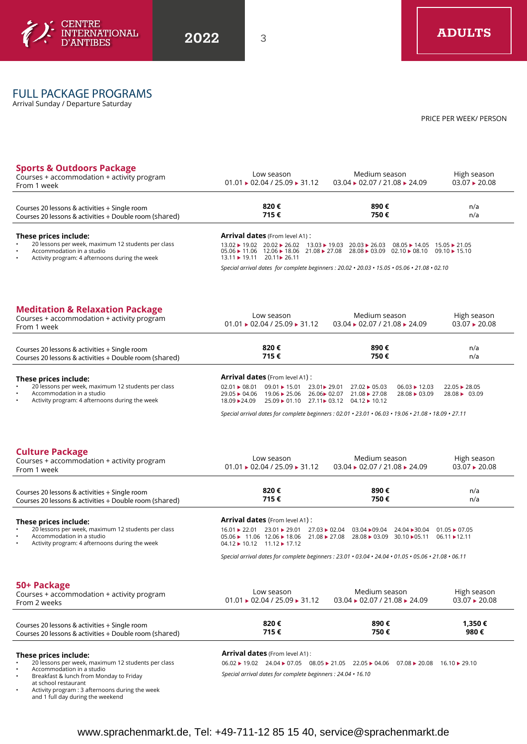

# FULL PACKAGE PROGRAMS

Arrival Sunday / Departure Saturday

PRICE PER WEEK/ PERSON

n/a

| Courses 20 lessons & activities + Single room                                                     | 820€                                                              | 890 €                                                                | n/a                               |
|---------------------------------------------------------------------------------------------------|-------------------------------------------------------------------|----------------------------------------------------------------------|-----------------------------------|
| <b>Sports &amp; Outdoors Package</b><br>Courses + accommodation + activity program<br>From 1 week | Low season<br>$01.01 \rightarrow 02.04 / 25.09 \rightarrow 31.12$ | Medium season<br>$03.04 \rightarrow 02.07 / 21.08 \rightarrow 24.09$ | High season<br>$03.07 \div 20.08$ |

#### Courses 20 lessons & activities + Single room Courses 20 lessons & activities + Double room (shared) **820 € 715 € 890 € 750 €**

#### **These prices include:**  • 20 lessons per week, maximum 12 students per class

• Accommodation in a studio

**Arrival dates** (From level A1) :

13.02 ▶ 19.02 20.02 ▶ 26.02 13.03 ▶ 19.03 20.03 ▶ 26.03 08.05 ▶ 14.05 15.05 ▶ 21.05<br>05.06 ▶ 11.06 12.06 ▶ 18.06 21.08 ▶ 27.08 28.08 ▶ 03.09 02.10 ▶ 08.10 09.10 ▶ 15.10<br>13.11 ▶ 19.11 20.11 ▶ 26.11

*Special arrival dates for complete beginners : 20.02 • 20.03 • 15.05 • 05.06 • 21.08 • 02.10*

### **Meditation & Relaxation Package**

• Activity program: 4 afternoons during the week

| <b>Meditation &amp; Relaxation Package</b><br>Courses + accommodation + activity program<br>From 1 week |                           | Low season<br>$01.01 \cdot 02.04 / 25.09 \cdot 31.12$                         |              | Medium season<br>$03.04 \rightarrow 02.07 / 21.08 \rightarrow 24.09$ |                                                              | High season<br>$03.07 \div 20.08$ |  |
|---------------------------------------------------------------------------------------------------------|---------------------------|-------------------------------------------------------------------------------|--------------|----------------------------------------------------------------------|--------------------------------------------------------------|-----------------------------------|--|
| Courses 20 lessons & activities + Single room<br>Courses 20 lessons & activities + Double room (shared) |                           | 820€<br>715€                                                                  |              | 890€<br>750€                                                         |                                                              | n/a<br>n/a                        |  |
| These prices include:                                                                                   |                           | <b>Arrival dates (From level A1):</b>                                         |              |                                                                      |                                                              |                                   |  |
| 20 lessons per week, maximum 12 students per class<br>$\bullet$                                         | $02.01 \rightarrow 08.01$ | $09.01 \div 15.01$                                                            | 23.01► 29.01 | $27.02 \div 05.03$                                                   | $06.03 \div 12.03$                                           | $22.05 \div 28.05$                |  |
| Accommodation in a studio<br>$\bullet$                                                                  | $29.05 \rightarrow 04.06$ | $19.06 \rightarrow 25.06$                                                     | 26.06► 02.07 | 21.08 > 27.08                                                        | $28.08 \rightarrow 03.09$                                    | $28.08 \rightarrow 03.09$         |  |
| Activity program: 4 afternoons during the week<br>$\bullet$                                             | 18.09 - 24.09             | $25.09 \rightarrow 01.10$ $27.11 \rightarrow 03.12$ $04.12 \rightarrow 10.12$ |              |                                                                      |                                                              |                                   |  |
|                                                                                                         |                           |                                                                               |              |                                                                      | بنسم ممنع ممنع ممنع ممنع بمنعم يممن المنادر المنادر المنادرة |                                   |  |

*Special arrival dates for complete beginners : 02.01 • 23.01 • 06.03 • 19.06 • 21.08 • 18.09 • 27.11*

### **Culture Package**

| $\sim$<br>Courses + accommodation + activity program<br>From 1 week                                                                            | Low season<br>$01.01 \rightarrow 02.04 / 25.09 \rightarrow 31.12$                                                                   | Medium season<br>$03.04 \rightarrow 02.07 / 21.08 \rightarrow 24.09$                                                                   | High season<br>$03.07 \div 20.08$        |  |
|------------------------------------------------------------------------------------------------------------------------------------------------|-------------------------------------------------------------------------------------------------------------------------------------|----------------------------------------------------------------------------------------------------------------------------------------|------------------------------------------|--|
| Courses 20 lessons & activities + Single room<br>Courses 20 lessons & activities + Double room (shared)                                        | 890€<br>820€<br>715€<br>750€                                                                                                        |                                                                                                                                        | n/a<br>n/a                               |  |
| These prices include:                                                                                                                          | <b>Arrival dates</b> (From level A1):                                                                                               |                                                                                                                                        |                                          |  |
| 20 lessons per week, maximum 12 students per class<br>Accommodation in a studio<br>$\bullet$<br>Activity program: 4 afternoons during the week | $16.01 \div 22.01$<br>23.01 ▶ 29.01<br>$05.06 \rightarrow 11.06$ 12.06 $\rightarrow$ 18.06<br>$04.12 \rightarrow 10.12$ 11.12 17.12 | $27.03 \div 02.04$<br>$03.04 \rightarrow 09.04$<br>24.04 30.04<br>$21.08 \div 27.08$<br>$28.08 \triangleright 03.09$<br>30.10 \> 05.11 | $01.05 \div 07.05$<br>$06.11 \div 12.11$ |  |
|                                                                                                                                                |                                                                                                                                     | Special arrival dates for complete beginners : $23.01 \cdot 03.04 \cdot 24.04 \cdot 01.05 \cdot 05.06 \cdot 21.08 \cdot 06.11$         |                                          |  |
| 50+ Package<br>Courses + accommodation + activity program<br>From 2 weeks                                                                      | Low season<br>$01.01 \rightarrow 02.04 / 25.09 \rightarrow 31.12$                                                                   | Medium season<br>$03.04 \rightarrow 02.07 / 21.08 \rightarrow 24.09$                                                                   | High season<br>$03.07 \div 20.08$        |  |
| Courses 20 lessons & activities + Single room<br>Courses 20 lessons & activities + Double room (shared)                                        | 820€<br>715€                                                                                                                        | 890€<br>750€                                                                                                                           | 1,350€<br>980€                           |  |
| These prices include:                                                                                                                          | Arrival dates (From level A1):                                                                                                      |                                                                                                                                        |                                          |  |

**These prices include:**  • 20 lessons per week, maximum 12 students per class

• Accommodation in a studio

• Breakfast & lunch from Monday to Friday

at school restaurant

• Activity program : 3 afternoons during the week and 1 full day during the weekend

### **Arrival dates** (From level A1) :

 $06.02 \triangleright 19.02$  24.04  $\triangleright$  07.05 08.05  $\triangleright$  21.05 22.05  $\triangleright$  04.06 07.08  $\triangleright$  20.08 16.10  $\triangleright$  29.10 *Special arrival dates for complete beginners : 24.04 • 16.10*

www.sprachenmarkt.de, Tel: +49-711-12 85 15 40, service@sprachenmarkt.de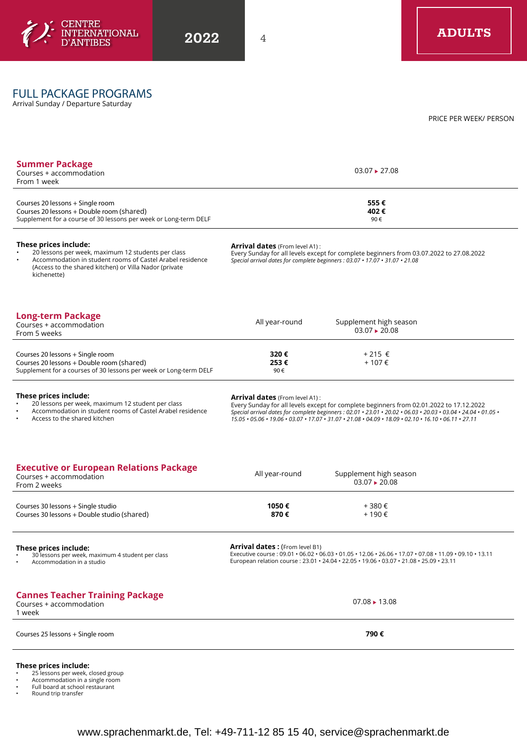

# FULL PACKAGE PROGRAMS

Arrival Sunday / Departure Saturday

PRICE PER WEEK/ PERSON

| $03.07 \div 27.08$                    |                                                                                                                                                                                                                                                                                                                                                                      |  |
|---------------------------------------|----------------------------------------------------------------------------------------------------------------------------------------------------------------------------------------------------------------------------------------------------------------------------------------------------------------------------------------------------------------------|--|
|                                       | 555€<br>402€<br>90€                                                                                                                                                                                                                                                                                                                                                  |  |
|                                       | Every Sunday for all levels except for complete beginners from 03.07.2022 to 27.08.2022<br>Special arrival dates for complete beginners : 03.07 • 17.07 • 31.07 • 21.08                                                                                                                                                                                              |  |
| All year-round                        | Supplement high season<br>$03.07 \rightarrow 20.08$                                                                                                                                                                                                                                                                                                                  |  |
| 320 €<br>253€<br>90€                  | +215 €<br>$+107 \in$                                                                                                                                                                                                                                                                                                                                                 |  |
|                                       | Every Sunday for all levels except for complete beginners from 02.01.2022 to 17.12.2022<br>Special arrival dates for complete beginners : 02.01 · 23.01 · 20.02 · 06.03 · 20.03 · 03.04 · 24.04 · 01.05 ·<br>$15.05 \cdot 05.06 \cdot 19.06 \cdot 03.07 \cdot 17.07 \cdot 31.07 \cdot 21.08 \cdot 04.09 \cdot 18.09 \cdot 02.10 \cdot 16.10 \cdot 06.11 \cdot 27.11$ |  |
|                                       |                                                                                                                                                                                                                                                                                                                                                                      |  |
| All year-round                        | Supplement high season<br>$03.07 \div 20.08$                                                                                                                                                                                                                                                                                                                         |  |
| 1050€<br>870€                         | +380€<br>+190€                                                                                                                                                                                                                                                                                                                                                       |  |
| <b>Arrival dates:</b> (From level B1) | Executive course : 09.01 · 06.02 · 06.03 · 01.05 · 12.06 · 26.06 · 17.07 · 07.08 · 11.09 · 09.10 · 13.11<br>European relation course: 23.01 · 24.04 · 22.05 · 19.06 · 03.07 · 21.08 · 25.09 · 23.11                                                                                                                                                                  |  |
|                                       | $07.08 \rightarrow 13.08$                                                                                                                                                                                                                                                                                                                                            |  |
|                                       | <b>Arrival dates</b> (From level A1):<br>Arrival dates (From level A1):                                                                                                                                                                                                                                                                                              |  |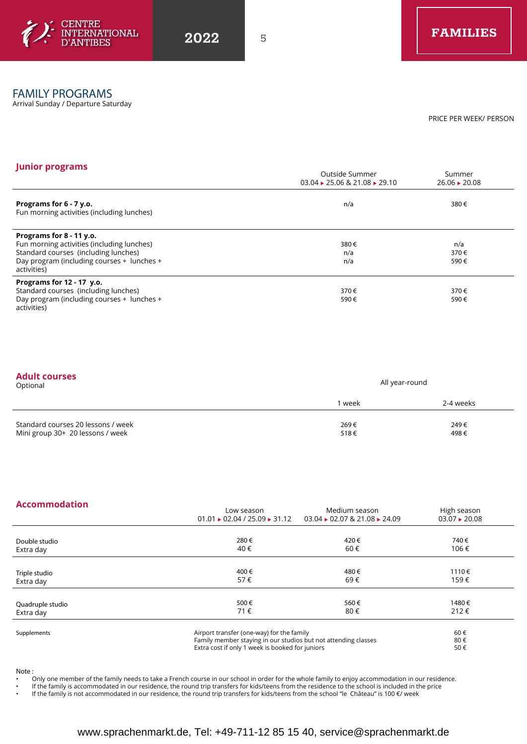

### FAMILY PROGRAMS

Arrival Sunday / Departure Saturday

PRICE PER WEEK/ PERSON

#### **Junior programs Contract Contract Contract Contract Contract Contract Contract Contract Contract Contract Contract Contract Contract Contract Contract Contract Contract Contract Contract Contract Contract Contract Contr**  $03.04 \rightarrow 25.06 \& 21.08 \rightarrow 29.10$ Summer  $26.06 \rightarrow 20.08$ **Programs for 6 - 7 y.o.** Fun morning activities (including lunches)  $n/a$  380 € **Programs for 8 - 11 y.o.** Fun morning activities (including lunches) Standard courses (including lunches) Day program (including courses + lunches + activities) 380 € n/a n/a n/a 370 € 590 € **Programs for 12 - 17 y.o.** Standard courses (including lunches) Day program (including courses + lunches + 370 € 590 € 370 € 590 €

activities)

| <b>Adult courses</b> |  |  |  |
|----------------------|--|--|--|
|                      |  |  |  |

| Optional                                                               | All year-round |              |
|------------------------------------------------------------------------|----------------|--------------|
|                                                                        | 1 week         | 2-4 weeks    |
| Standard courses 20 lessons / week<br>Mini group 30+ 20 lessons / week | 269€<br>518€   | 249€<br>498€ |

### **Accommodation**

|                  | Low season                                                     | Medium season                                         | High season        |  |
|------------------|----------------------------------------------------------------|-------------------------------------------------------|--------------------|--|
|                  | $01.01 \rightarrow 02.04 / 25.09 \rightarrow 31.12$            | $03.04 \rightarrow 02.07$ & 21.08 $\rightarrow$ 24.09 | $03.07 \div 20.08$ |  |
|                  |                                                                |                                                       |                    |  |
| Double studio    | 280€                                                           | 420€                                                  | 740€               |  |
| Extra day        | 40€                                                            | 60€                                                   | 106€               |  |
|                  |                                                                |                                                       |                    |  |
| Triple studio    | 400€                                                           | 480€                                                  | 1110€              |  |
| Extra day        | 57€                                                            | 69€                                                   | 159€               |  |
|                  |                                                                |                                                       |                    |  |
| Quadruple studio | 500€                                                           | 560€                                                  | 1480€              |  |
| Extra day        | 71€                                                            | 80€                                                   | 212€               |  |
| Supplements      | Airport transfer (one-way) for the family                      |                                                       | 60€                |  |
|                  | Family member staying in our studios but not attending classes |                                                       | 80€                |  |
|                  | Extra cost if only 1 week is booked for juniors                |                                                       | 50€                |  |

Note :

- Only one member of the family needs to take a French course in our school in order for the whole family to enjoy accommodation in our residence.
- If the family is accommodated in our residence, the round trip transfers for kids/teens from the residence to the school is included in the price
- If the family is not accommodated in our residence, the round trip transfers for kids/teens from the school "le Château" is 100 €/ week

# www.sprachenmarkt.de, Tel: +49-711-12 85 15 40, service@sprachenmarkt.de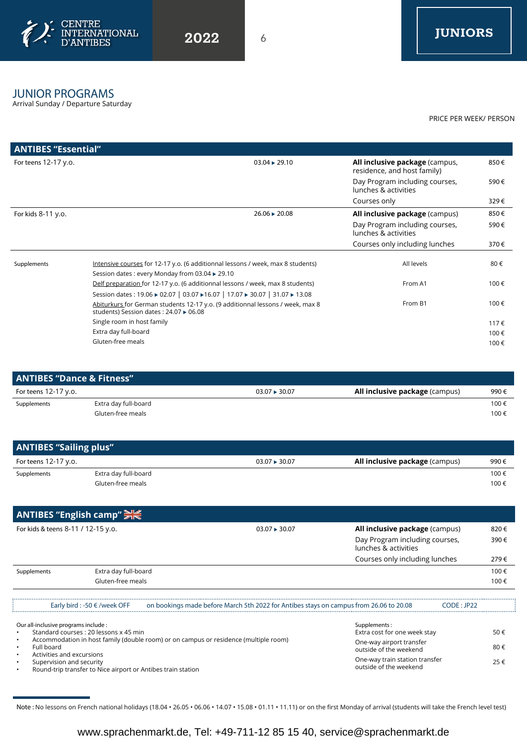

# JUNIOR PROGRAMS

Arrival Sunday / Departure Saturday

PRICE PER WEEK/ PERSON

| <b>ANTIBES "Essential"</b> |                                                                                                                                    |                                                               |      |
|----------------------------|------------------------------------------------------------------------------------------------------------------------------------|---------------------------------------------------------------|------|
| For teens 12-17 y.o.       | $03.04 \rightarrow 29.10$                                                                                                          | All inclusive package (campus,<br>residence, and host family) | 850€ |
|                            |                                                                                                                                    | Day Program including courses,<br>lunches & activities        | 590€ |
|                            |                                                                                                                                    | Courses only                                                  | 329€ |
| For kids 8-11 y.o.         | $26.06 \div 20.08$                                                                                                                 | <b>All inclusive package (campus)</b>                         | 850€ |
|                            |                                                                                                                                    | Day Program including courses,<br>lunches & activities        | 590€ |
|                            |                                                                                                                                    | Courses only including lunches                                | 370€ |
| Supplements                | Intensive courses for 12-17 y.o. (6 additionnal lessons / week, max 8 students)<br>Session dates : every Monday from 03.04 ▶ 29.10 | All levels                                                    | 80€  |
|                            | Delf preparation for 12-17 y.o. (6 additionnal lessons / week, max 8 students)                                                     | From A1                                                       | 100€ |
|                            | Session dates: 19.06 → 02.07   03.07 → 16.07   17.07 → 30.07   31.07 → 13.08                                                       |                                                               |      |
|                            | Abiturkurs for German students 12-17 y.o. (9 additionnal lessons / week, max 8<br>students) Session dates : 24.07 ▶ 06.08          | From B1                                                       | 100€ |
|                            | Single room in host family                                                                                                         |                                                               | 117€ |
|                            | Extra day full-board                                                                                                               |                                                               | 100€ |
|                            | Gluten-free meals                                                                                                                  |                                                               | 100€ |
|                            |                                                                                                                                    |                                                               |      |

| <b>ANTIBES "Dance &amp; Fitness"</b> |                      |                           |                                       |      |
|--------------------------------------|----------------------|---------------------------|---------------------------------------|------|
| For teens 12-17 y.o.                 |                      | $03.07 \rightarrow 30.07$ | <b>All inclusive package</b> (campus) | 990€ |
| Supplements                          | Extra day full-board |                           |                                       | 100€ |
|                                      | Gluten-free meals    |                           |                                       | 100€ |

| <b>ANTIBES "Sailing plus"</b> |                      |                    |                                       |      |  |
|-------------------------------|----------------------|--------------------|---------------------------------------|------|--|
| For teens 12-17 y.o.          |                      | $03.07 \div 30.07$ | <b>All inclusive package</b> (campus) | 990€ |  |
| Supplements                   | Extra day full-board |                    |                                       | 100€ |  |
|                               | Gluten-free meals    |                    |                                       | 100€ |  |

|                                    | ANTIBES "English camp" 吴长        |                                                                                        |                                                        |      |
|------------------------------------|----------------------------------|----------------------------------------------------------------------------------------|--------------------------------------------------------|------|
| For kids & teens 8-11 / 12-15 y.o. |                                  | $03.07 \div 30.07$                                                                     | All inclusive package (campus)                         |      |
|                                    |                                  |                                                                                        | Day Program including courses,<br>lunches & activities | 390€ |
|                                    |                                  |                                                                                        | Courses only including lunches                         | 279€ |
| Supplements                        | Extra day full-board             |                                                                                        |                                                        | 100€ |
|                                    | Gluten-free meals                |                                                                                        |                                                        | 100€ |
|                                    |                                  |                                                                                        |                                                        |      |
|                                    | Early bird : -50 $\in$ /week OFF | on bookings made before March 5th 2022 for Antibes stays on campus from 26.06 to 20.08 | CODE : JP22                                            |      |

Supplements :

Extra cost for one week stay One-way airport transfer outside of the weekend One-way train station transfer outside of the weekend

50 € 80 € 25 €

Our all-inclusive programs include :

• Standard courses : 20 lessons x 45 min • Accommodation in host family (double room) or on campus or residence (multiple room)

- 
- Full board

• Activities and excursions

Supervision and security

• Round-trip transfer to Nice airport or Antibes train station

Note : No lessons on French national holidays (18.04 • 26.05 • 06.06 • 14.07 • 15.08 • 01.11 • 11.11) or on the first Monday of arrival (students will take the French level test)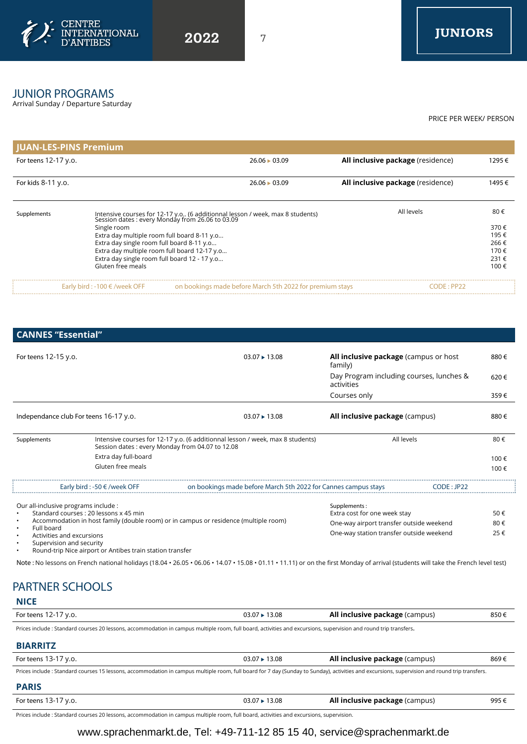

# JUNIOR PROGRAMS

Arrival Sunday / Departure Saturday

PRICE PER WEEK/ PERSON

| JUAN-LES-PINS Premium |                                              |                                                                                                                                   |                                   |        |
|-----------------------|----------------------------------------------|-----------------------------------------------------------------------------------------------------------------------------------|-----------------------------------|--------|
| For teens 12-17 y.o.  |                                              | $26.06 \div 03.09$                                                                                                                | All inclusive package (residence) | 1295€  |
| For kids 8-11 y.o.    |                                              | $26.06 \div 03.09$                                                                                                                | All inclusive package (residence) | 1495 € |
| Supplements           |                                              | Intensive courses for 12-17 y.o (6 additionnal lesson / week, max 8 students)<br>Session dates : every Monday from 26.06 to 03.09 | All levels                        | 80€    |
|                       | Single room                                  |                                                                                                                                   |                                   | 370€   |
|                       | Extra day multiple room full board 8-11 y.o  |                                                                                                                                   |                                   | 195€   |
|                       | Extra day single room full board 8-11 y.o    |                                                                                                                                   |                                   | 266€   |
|                       | Extra day multiple room full board 12-17 y.o |                                                                                                                                   |                                   | 170€   |
|                       | Extra day single room full board 12 - 17 y.o |                                                                                                                                   |                                   | 231€   |
|                       | Gluten free meals                            |                                                                                                                                   |                                   | 100€   |
|                       | Early bird : -100 $\in$ /week OFF            | on bookings made before March 5th 2022 for premium stays                                                                          | CODE : PP22                       |        |

**CANNES "Essential"**

| For teens 12-15 y.o.                                                                                              |                                        | $03.07 \div 13.08$                                                                                                                | <b>All inclusive package</b> (campus or host<br>family) |             | 880€ |  |
|-------------------------------------------------------------------------------------------------------------------|----------------------------------------|-----------------------------------------------------------------------------------------------------------------------------------|---------------------------------------------------------|-------------|------|--|
|                                                                                                                   |                                        |                                                                                                                                   | Day Program including courses, lunches &<br>activities  |             | 620€ |  |
|                                                                                                                   |                                        |                                                                                                                                   | Courses only                                            |             | 359€ |  |
|                                                                                                                   | Independance club For teens 16-17 y.o. | $03.07 \div 13.08$                                                                                                                | <b>All inclusive package (campus)</b>                   |             | 880€ |  |
| Supplements                                                                                                       |                                        | Intensive courses for 12-17 y.o. (6 additionnal lesson / week, max 8 students)<br>Session dates: every Monday from 04.07 to 12.08 | All levels                                              |             | 80€  |  |
|                                                                                                                   | Extra day full-board                   |                                                                                                                                   |                                                         |             | 100€ |  |
|                                                                                                                   | Gluten free meals                      |                                                                                                                                   |                                                         |             | 100€ |  |
|                                                                                                                   | Early bird : -50 $\in$ /week OFF       | on bookings made before March 5th 2022 for Cannes campus stays                                                                    |                                                         | CODE : JP22 |      |  |
| Our all-inclusive programs include :                                                                              |                                        |                                                                                                                                   | Supplements:                                            |             |      |  |
| Standard courses: 20 lessons x 45 min                                                                             |                                        |                                                                                                                                   | Extra cost for one week stay                            |             | 50€  |  |
| Accommodation in host family (double room) or in campus or residence (multiple room)<br>المحرجات والبالي والمرادي |                                        |                                                                                                                                   | One-way airport transfer outside weekend                |             | 80€  |  |

• Full board

• Activities and excursions

• Supervision and security

• Round-trip Nice airport or Antibes train station transfer

Note : No lessons on French national holidays (18.04 • 26.05 • 06.06 • 14.07 • 15.08 • 01.11 • 11.11) or on the first Monday of arrival (students will take the French level test)

One-way station transfer outside weekend

25 €

# **NICE** PARTNER SCHOOLS

| For teens 12-17 y.o.                                                                                                                                              | 03.07 ► 13.08 | <b>All inclusive package (campus)</b> | 850€ |
|-------------------------------------------------------------------------------------------------------------------------------------------------------------------|---------------|---------------------------------------|------|
| Prices include : Standard courses 20 lessons, accommodation in campus multiple room, full board, activities and excursions, supervision and round trip transfers. |               |                                       |      |

## **BIARRITZ**

| For teens 13-17 y.o.                                                                                                                                                                          | $03.07 \div 13.08$ | <b>All inclusive package</b> (campus) | 869€ |
|-----------------------------------------------------------------------------------------------------------------------------------------------------------------------------------------------|--------------------|---------------------------------------|------|
| Prices include: Standard courses 15 lessons, accommodation in campus multiple room, full board for 7 day (Sunday to Sunday), activities and excursions, supervision and round trip transfers. |                    |                                       |      |
| <b>PARIS</b>                                                                                                                                                                                  |                    |                                       |      |

| For teens 1<br>$\prime$ V.O.<br>ا -5 ا<br>. | '3.08 | <b>All inclusive package (campus)</b> | 995€<br>. |
|---------------------------------------------|-------|---------------------------------------|-----------|
|                                             |       |                                       |           |

Prices include : Standard courses 20 lessons, accommodation in campus multiple room, full board, activities and excursions, supervision.

# www.sprachenmarkt.de, Tel: +49-711-12 85 15 40, service@sprachenmarkt.de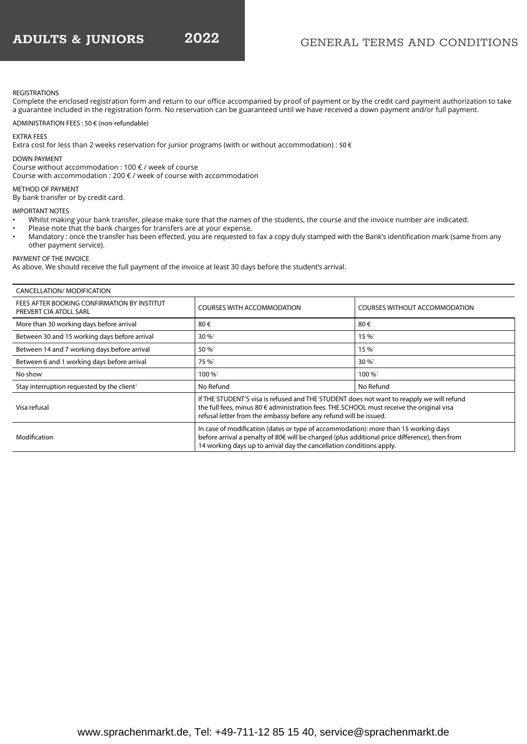## GENERAL TERMS AND CONDITIONS

### REGISTRATIONS

Complete the enclosed registration form and return to our office accompanied by proof of payment or by the credit card payment authorization to take a guarantee included in the registration form. No reservation can be guaranteed until we have received a down payment and/or full payment.

ADMINISTRATION FEES : 50 € (non-refundable)

### EXTRA FEES

Extra cost for less than 2 weeks reservation for junior programs (with or without accommodation) : 50 €

### DOWN PAYMENT

Course without accommodation : 100 € / week of course

Course with accommodation : 200 € / week of course with accommodation

METHOD OF PAYMENT By bank transfer or by credit card.

IMPORTANT NOTES

- Whilst making your bank transfer, please make sure that the names of the students, the course and the invoice number are indicated.
- Please note that the bank charges for transfers are at your expense.
- Mandatory : once the transfer has been effected, you are requested to fax a copy duly stamped with the Bank's identification mark (same from any other payment service).

PAYMENT OF THE INVOICE

As above. We should receive the full payment of the invoice at least 30 days before the student's arrival.

| CANCELLATION/ MODIFICATION                                            |                                                                                                                                                                                                                                                              |                                      |  |
|-----------------------------------------------------------------------|--------------------------------------------------------------------------------------------------------------------------------------------------------------------------------------------------------------------------------------------------------------|--------------------------------------|--|
| FEES AFTER BOOKING CONFIRMATION BY INSTITUT<br>PREVERT CIA ATOLL SARL | <b>COURSES WITH ACCOMMODATION</b>                                                                                                                                                                                                                            | <b>COURSES WITHOUT ACCOMMODATION</b> |  |
| More than 30 working days before arrival                              | 80€                                                                                                                                                                                                                                                          | 80€                                  |  |
| Between 30 and 15 working days before arrival                         | $30\%$ <sup>1</sup>                                                                                                                                                                                                                                          | $15\%$ <sup>1</sup>                  |  |
| Between 14 and 7 working days before arrival                          | $50\%$ <sup>1</sup>                                                                                                                                                                                                                                          | $15\%$ <sup>1</sup>                  |  |
| Between 6 and 1 working days before arrival                           | 75 % <sup>1</sup>                                                                                                                                                                                                                                            | $30\%$ <sup>1</sup>                  |  |
| No show                                                               | $100\%$ <sup>1</sup>                                                                                                                                                                                                                                         | $100\%$ <sup>1</sup>                 |  |
| Stay interruption requested by the client <sup>2</sup>                | No Refund                                                                                                                                                                                                                                                    | No Refund                            |  |
| Visa refusal                                                          | If THE STUDENT'S visa is refused and THE STUDENT does not want to reapply we will refund<br>the full fees, minus 80 € administration fees. THE SCHOOL must receive the original visa<br>refusal letter from the embassy before any refund will be issued.    |                                      |  |
| Modification                                                          | In case of modification (dates or type of accommodation): more than 15 working days<br>before arrival a penalty of 80€ will be charged (plus additional price difference), then from<br>14 working days up to arrival day the cancellation conditions apply. |                                      |  |